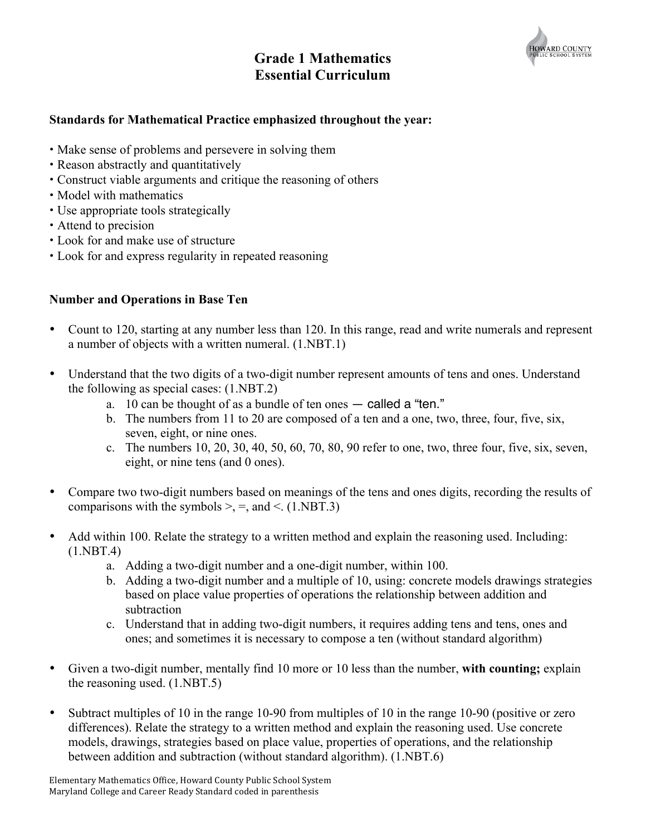

# **Grade 1 Mathematics Essential Curriculum**

### **Standards for Mathematical Practice emphasized throughout the year:**

- Make sense of problems and persevere in solving them
- Reason abstractly and quantitatively
- Construct viable arguments and critique the reasoning of others
- Model with mathematics
- Use appropriate tools strategically
- Attend to precision
- Look for and make use of structure
- Look for and express regularity in repeated reasoning

### **Number and Operations in Base Ten**

- Count to 120, starting at any number less than 120. In this range, read and write numerals and represent a number of objects with a written numeral. (1.NBT.1)
- Understand that the two digits of a two-digit number represent amounts of tens and ones. Understand the following as special cases: (1.NBT.2)
	- a. 10 can be thought of as a bundle of ten ones called a "ten."
	- b. The numbers from 11 to 20 are composed of a ten and a one, two, three, four, five, six, seven, eight, or nine ones.
	- c. The numbers 10, 20, 30, 40, 50, 60, 70, 80, 90 refer to one, two, three four, five, six, seven, eight, or nine tens (and 0 ones).
- Compare two two-digit numbers based on meanings of the tens and ones digits, recording the results of comparisons with the symbols  $\geq$ ,  $\equiv$ , and  $\leq$ . (1.NBT.3)
- Add within 100. Relate the strategy to a written method and explain the reasoning used. Including:  $(1.NBT.4)$ 
	- a. Adding a two-digit number and a one-digit number, within 100.
	- b. Adding a two-digit number and a multiple of 10, using: concrete models drawings strategies based on place value properties of operations the relationship between addition and subtraction
	- c. Understand that in adding two-digit numbers, it requires adding tens and tens, ones and ones; and sometimes it is necessary to compose a ten (without standard algorithm)
- Given a two-digit number, mentally find 10 more or 10 less than the number, **with counting;** explain the reasoning used. (1.NBT.5)
- Subtract multiples of 10 in the range 10-90 from multiples of 10 in the range 10-90 (positive or zero differences). Relate the strategy to a written method and explain the reasoning used. Use concrete models, drawings, strategies based on place value, properties of operations, and the relationship between addition and subtraction (without standard algorithm). (1.NBT.6)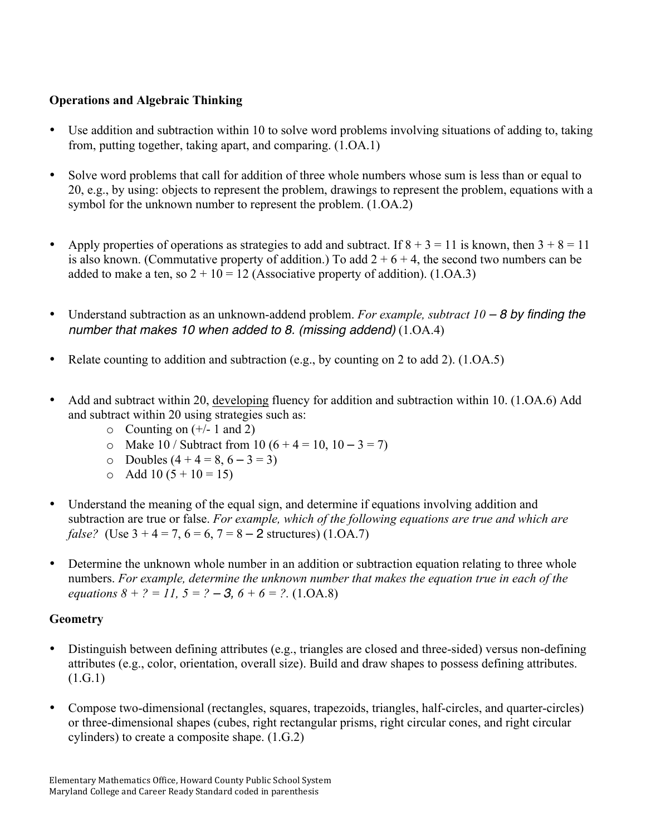## **Operations and Algebraic Thinking**

- Use addition and subtraction within 10 to solve word problems involving situations of adding to, taking from, putting together, taking apart, and comparing. (1.OA.1)
- Solve word problems that call for addition of three whole numbers whose sum is less than or equal to 20, e.g., by using: objects to represent the problem, drawings to represent the problem, equations with a symbol for the unknown number to represent the problem. (1.OA.2)
- Apply properties of operations as strategies to add and subtract. If  $8 + 3 = 11$  is known, then  $3 + 8 = 11$ is also known. (Commutative property of addition.) To add  $2 + 6 + 4$ , the second two numbers can be added to make a ten, so  $2 + 10 = 12$  (Associative property of addition). (1.0A.3)
- Understand subtraction as an unknown-addend problem. *For example, subtract 10 8 by finding the number that makes 10 when added to 8. (missing addend)* (1.OA.4)
- Relate counting to addition and subtraction (e.g., by counting on 2 to add 2). (1.OA.5)
- Add and subtract within 20, developing fluency for addition and subtraction within 10. (1.OA.6) Add and subtract within 20 using strategies such as:
	- $\circ$  Counting on (+/- 1 and 2)
	- o Make 10 / Subtract from 10  $(6 + 4 = 10, 10 3 = 7)$
	- $\circ$  Doubles  $(4 + 4 = 8, 6 3 = 3)$
	- $\circ$  Add 10 (5 + 10 = 15)
- Understand the meaning of the equal sign, and determine if equations involving addition and subtraction are true or false. *For example, which of the following equations are true and which are false?* (Use  $3 + 4 = 7$ ,  $6 = 6$ ,  $7 = 8 - 2$  structures) (1.OA.7)
- Determine the unknown whole number in an addition or subtraction equation relating to three whole numbers. *For example, determine the unknown number that makes the equation true in each of the equations*  $8 + ? = 11$ ,  $5 = ? - 3$ ,  $6 + 6 = ?$ . (1.0A.8)

### **Geometry**

- Distinguish between defining attributes (e.g., triangles are closed and three-sided) versus non-defining attributes (e.g., color, orientation, overall size). Build and draw shapes to possess defining attributes. (1.G.1)
- Compose two-dimensional (rectangles, squares, trapezoids, triangles, half-circles, and quarter-circles) or three-dimensional shapes (cubes, right rectangular prisms, right circular cones, and right circular cylinders) to create a composite shape. (1.G.2)